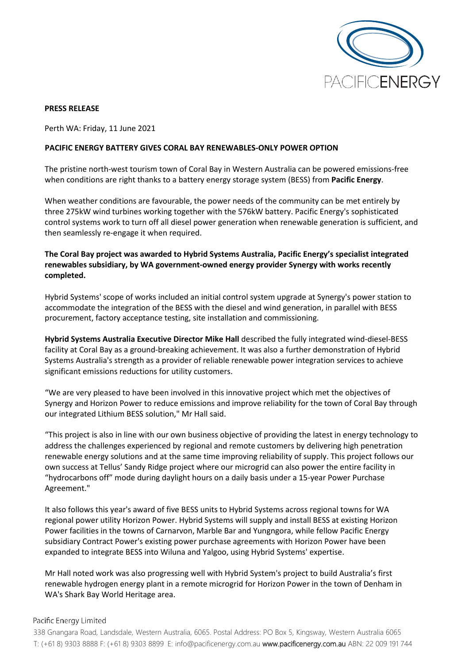

#### **PRESS RELEASE**

Perth WA: Friday, 11 June 2021

#### **PACIFIC ENERGY BATTERY GIVES CORAL BAY RENEWABLES-ONLY POWER OPTION**

The pristine north-west tourism town of Coral Bay in Western Australia can be powered emissions-free when conditions are right thanks to a battery energy storage system (BESS) from **Pacific Energy**.

When weather conditions are favourable, the power needs of the community can be met entirely by three 275kW wind turbines working together with the 576kW battery. Pacific Energy's sophisticated control systems work to turn off all diesel power generation when renewable generation is sufficient, and then seamlessly re-engage it when required.

# **The Coral Bay project was awarded to Hybrid Systems Australia, Pacific Energy's specialist integrated renewables subsidiary, by WA government-owned energy provider Synergy with works recently completed.**

Hybrid Systems' scope of works included an initial control system upgrade at Synergy's power station to accommodate the integration of the BESS with the diesel and wind generation, in parallel with BESS procurement, factory acceptance testing, site installation and commissioning.

**Hybrid Systems Australia Executive Director Mike Hall** described the fully integrated wind-diesel-BESS facility at Coral Bay as a ground-breaking achievement. It was also a further demonstration of Hybrid Systems Australia's strength as a provider of reliable renewable power integration services to achieve significant emissions reductions for utility customers.

"We are very pleased to have been involved in this innovative project which met the objectives of Synergy and Horizon Power to reduce emissions and improve reliability for the town of Coral Bay through our integrated Lithium BESS solution," Mr Hall said.

"This project is also in line with our own business objective of providing the latest in energy technology to address the challenges experienced by regional and remote customers by delivering high penetration renewable energy solutions and at the same time improving reliability of supply. This project follows our own success at Tellus' Sandy Ridge project where our microgrid can also power the entire facility in "hydrocarbons off" mode during daylight hours on a daily basis under a 15-year Power Purchase Agreement."

It also follows this year's award of five BESS units to Hybrid Systems across regional towns for WA regional power utility Horizon Power. Hybrid Systems will supply and install BESS at existing Horizon Power facilities in the towns of Carnarvon, Marble Bar and Yungngora, while fellow Pacific Energy subsidiary Contract Power's existing power purchase agreements with Horizon Power have been expanded to integrate BESS into Wiluna and Yalgoo, using Hybrid Systems' expertise.

Mr Hall noted work was also progressing well with Hybrid System's project to build Australia's first renewable hydrogen energy plant in a remote microgrid for Horizon Power in the town of Denham in WA's Shark Bay World Heritage area.

### Pacific Energy Limited

338 Gnangara Road, Landsdale, Western Australia, 6065. Postal Address: PO Box 5, Kingsway, Western Australia 6065 T: (+61 8) 9303 8888 F: (+61 8) 9303 8899 E: [info@pacificenergy.com.au](mailto:info@pacificenergy.com.au) www.pacificenergy.com.au ABN: 22 009 191 744